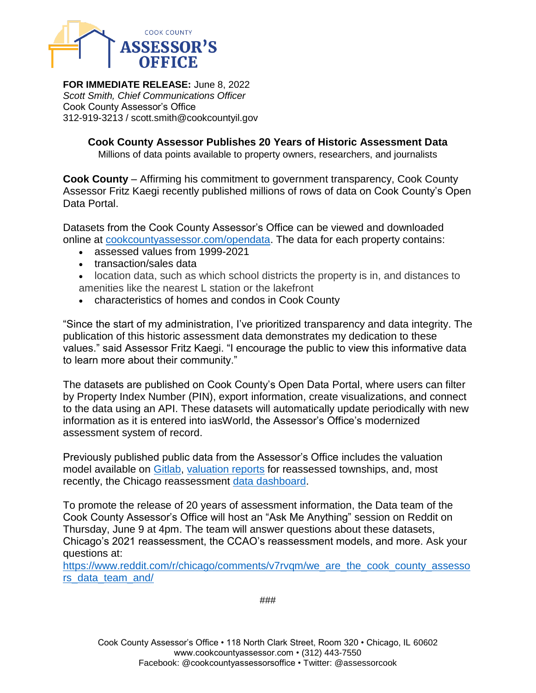

**FOR IMMEDIATE RELEASE:** June 8, 2022 *Scott Smith, Chief Communications Officer* Cook County Assessor's Office 312-919-3213 / scott.smith@cookcountyil.gov

> **Cook County Assessor Publishes 20 Years of Historic Assessment Data** Millions of data points available to property owners, researchers, and journalists

**Cook County** – Affirming his commitment to government transparency, Cook County Assessor Fritz Kaegi recently published millions of rows of data on Cook County's Open Data Portal.

Datasets from the Cook County Assessor's Office can be viewed and downloaded online at [cookcountyassessor.com/opendata.](https://www.cookcountyassessor.com/opendata) The data for each property contains:

- assessed values from 1999-2021
- transaction/sales data
- location data, such as which school districts the property is in, and distances to amenities like the nearest L station or the lakefront
- characteristics of homes and condos in Cook County

"Since the start of my administration, I've prioritized transparency and data integrity. The publication of this historic assessment data demonstrates my dedication to these values." said Assessor Fritz Kaegi. "I encourage the public to view this informative data to learn more about their community."

The datasets are published on Cook County's Open Data Portal, where users can filter by Property Index Number (PIN), export information, create visualizations, and connect to the data using an API. These datasets will automatically update periodically with new information as it is entered into iasWorld, the Assessor's Office's modernized assessment system of record.

Previously published public data from the Assessor's Office includes the valuation model available on [Gitlab,](https://gitlab.com/ccao-data-science---modeling) [valuation reports](https://www.cookcountyassessor.com/valuation-reports) for reassessed townships, and, most recently, the Chicago reassessment [data dashboard.](https://www.cookcountyassessor.com/ChicagoDashboard)

To promote the release of 20 years of assessment information, the Data team of the Cook County Assessor's Office will host an "Ask Me Anything" session on Reddit on Thursday, June 9 at 4pm. The team will answer questions about these datasets, Chicago's 2021 reassessment, the CCAO's reassessment models, and more. Ask your questions at:

[https://www.reddit.com/r/chicago/comments/v7rvqm/we\\_are\\_the\\_cook\\_county\\_assesso](https://www.reddit.com/r/chicago/comments/v7rvqm/we_are_the_cook_county_assessors_data_team_and/) [rs\\_data\\_team\\_and/](https://www.reddit.com/r/chicago/comments/v7rvqm/we_are_the_cook_county_assessors_data_team_and/)

###